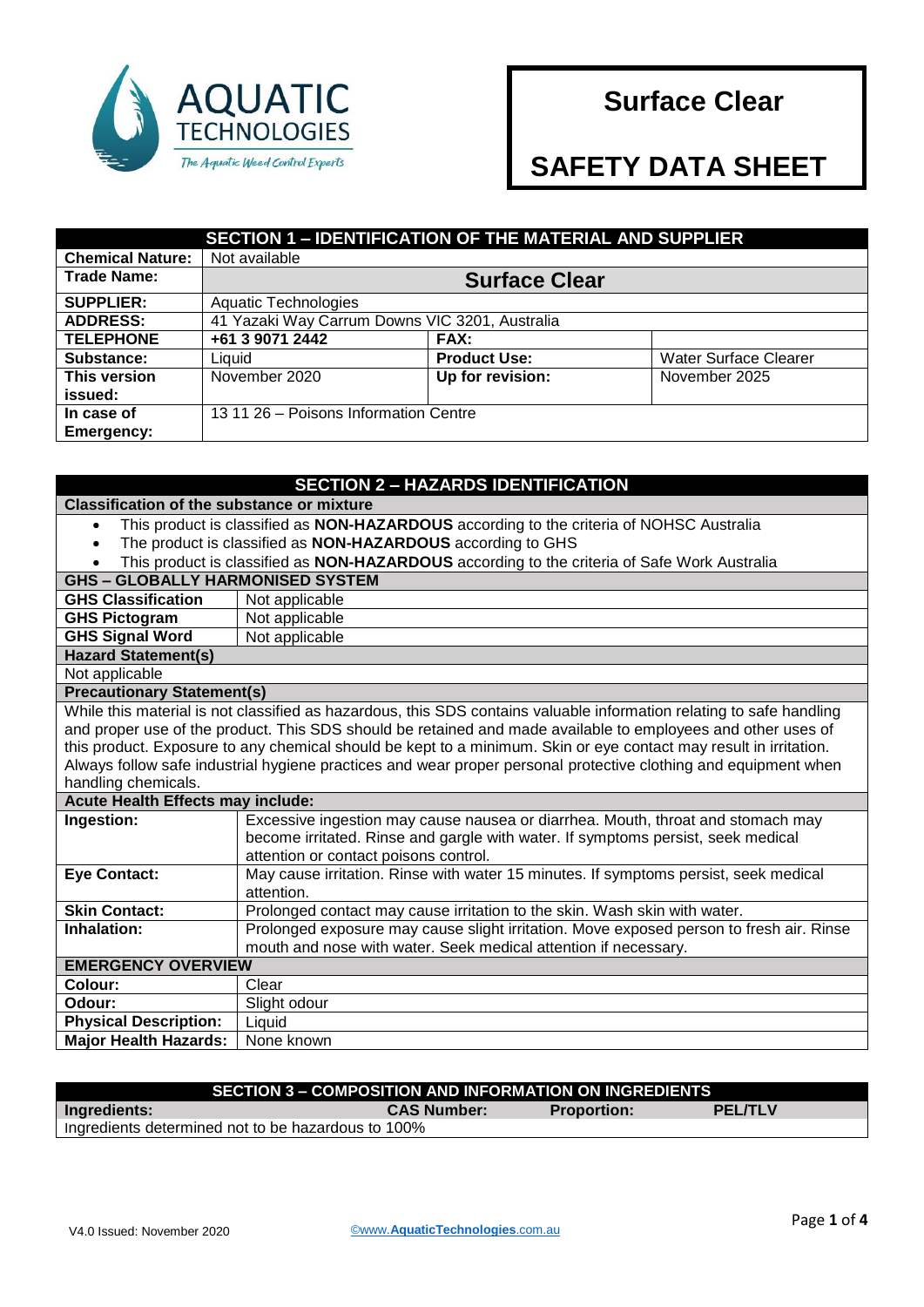

# **Surface Clear**

# **SAFETY DATA SHEET**

| <b>SECTION 1 - IDENTIFICATION OF THE MATERIAL AND SUPPLIER</b> |                                                |                     |                              |
|----------------------------------------------------------------|------------------------------------------------|---------------------|------------------------------|
| <b>Chemical Nature:</b>                                        | Not available                                  |                     |                              |
| <b>Trade Name:</b>                                             | <b>Surface Clear</b>                           |                     |                              |
| <b>SUPPLIER:</b>                                               | <b>Aquatic Technologies</b>                    |                     |                              |
| <b>ADDRESS:</b>                                                | 41 Yazaki Way Carrum Downs VIC 3201, Australia |                     |                              |
| <b>TELEPHONE</b>                                               | +61 3 9071 2442                                | <b>FAX:</b>         |                              |
| Substance:                                                     | Liquid                                         | <b>Product Use:</b> | <b>Water Surface Clearer</b> |
| This version                                                   | November 2020                                  | Up for revision:    | November 2025                |
| issued:                                                        |                                                |                     |                              |
| In case of<br><b>Emergency:</b>                                | 13 11 26 - Poisons Information Centre          |                     |                              |

#### **SECTION 2 – HAZARDS IDENTIFICATION Classification of the substance or mixture** This product is classified as **NON-HAZARDOUS** according to the criteria of NOHSC Australia The product is classified as **NON-HAZARDOUS** according to GHS This product is classified as **NON-HAZARDOUS** according to the criteria of Safe Work Australia **GHS – GLOBALLY HARMONISED SYSTEM GHS Classification** | Not applicable **GHS Pictogram** | Not applicable **GHS Signal Word** Not applicable **Hazard Statement(s)** Not applicable **Precautionary Statement(s)** While this material is not classified as hazardous, this SDS contains valuable information relating to safe handling and proper use of the product. This SDS should be retained and made available to employees and other uses of this product. Exposure to any chemical should be kept to a minimum. Skin or eye contact may result in irritation. Always follow safe industrial hygiene practices and wear proper personal protective clothing and equipment when handling chemicals. **Acute Health Effects may include: Ingestion:** Excessive ingestion may cause nausea or diarrhea. Mouth, throat and stomach may become irritated. Rinse and gargle with water. If symptoms persist, seek medical attention or contact poisons control. **Eye Contact:** May cause irritation. Rinse with water 15 minutes. If symptoms persist, seek medical attention. **Skin Contact:** Prolonged contact may cause irritation to the skin. Wash skin with water. **Inhalation:** Prolonged exposure may cause slight irritation. Move exposed person to fresh air. Rinse mouth and nose with water. Seek medical attention if necessary. **EMERGENCY OVERVIEW Colour:** | Clear **Odour:** Slight odour **Physical Description:** Liquid **Major Health Hazards:** | None known

## **SECTION 3 – COMPOSITION AND INFORMATION ON INGREDIENTS Ingredients: CAS Number: Proportion: PEL/TLV**

Ingredients determined not to be hazardous to 100%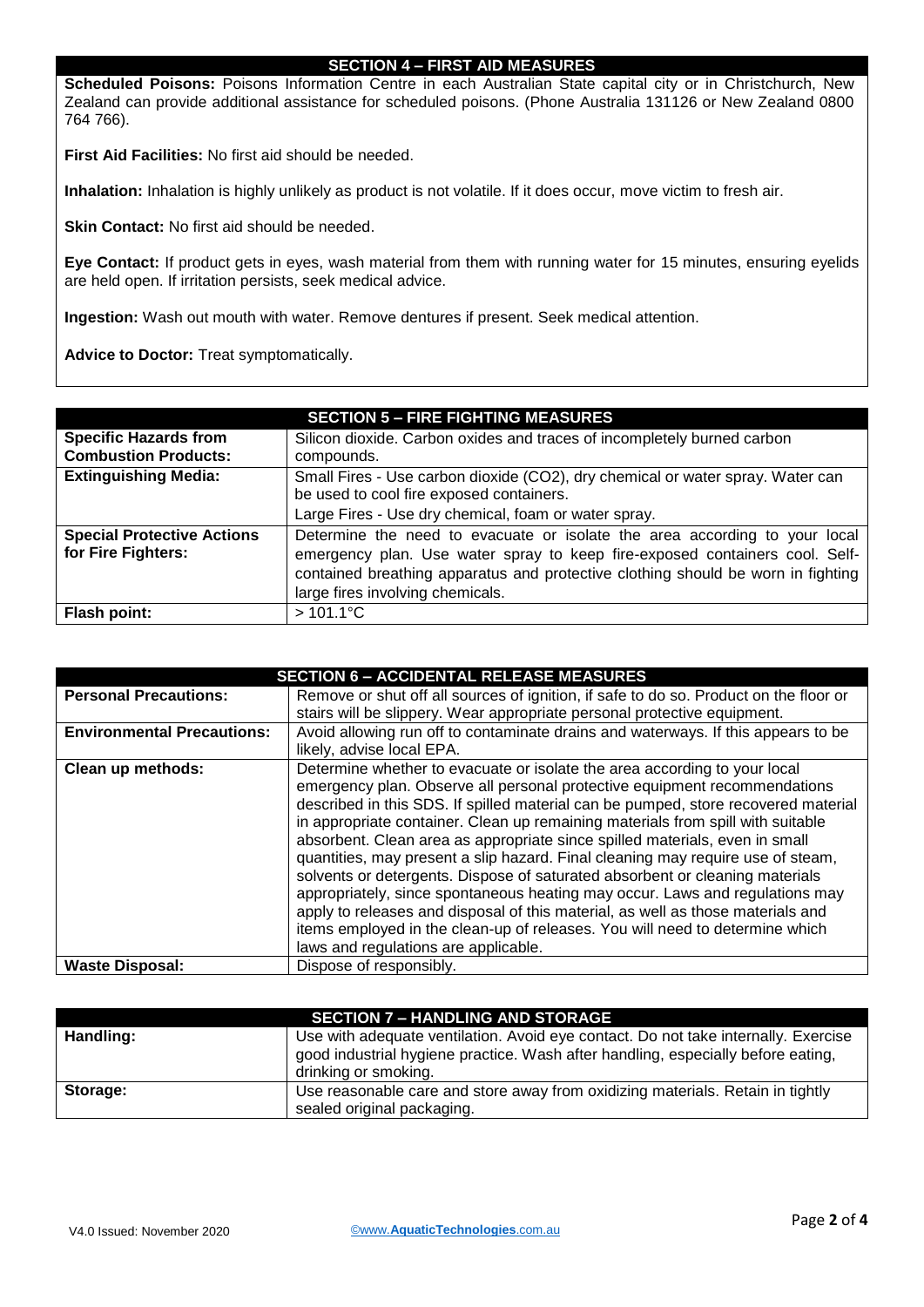#### **SECTION 4 – FIRST AID MEASURES**

**Scheduled Poisons:** Poisons Information Centre in each Australian State capital city or in Christchurch, New Zealand can provide additional assistance for scheduled poisons. (Phone Australia 131126 or New Zealand 0800 764 766).

**First Aid Facilities:** No first aid should be needed.

**Inhalation:** Inhalation is highly unlikely as product is not volatile. If it does occur, move victim to fresh air.

**Skin Contact:** No first aid should be needed.

**Eye Contact:** If product gets in eyes, wash material from them with running water for 15 minutes, ensuring eyelids are held open. If irritation persists, seek medical advice.

**Ingestion:** Wash out mouth with water. Remove dentures if present. Seek medical attention.

**Advice to Doctor:** Treat symptomatically.

|                                                             | <b>SECTION 5 – FIRE FIGHTING MEASURES</b>                                                                                                                                                                                                                                         |
|-------------------------------------------------------------|-----------------------------------------------------------------------------------------------------------------------------------------------------------------------------------------------------------------------------------------------------------------------------------|
| <b>Specific Hazards from</b><br><b>Combustion Products:</b> | Silicon dioxide. Carbon oxides and traces of incompletely burned carbon<br>compounds.                                                                                                                                                                                             |
| <b>Extinguishing Media:</b>                                 | Small Fires - Use carbon dioxide (CO2), dry chemical or water spray. Water can<br>be used to cool fire exposed containers.<br>Large Fires - Use dry chemical, foam or water spray.                                                                                                |
| <b>Special Protective Actions</b><br>for Fire Fighters:     | Determine the need to evacuate or isolate the area according to your local<br>emergency plan. Use water spray to keep fire-exposed containers cool. Self-<br>contained breathing apparatus and protective clothing should be worn in fighting<br>large fires involving chemicals. |
| <b>Flash point:</b>                                         | $>101.1^{\circ}$ C                                                                                                                                                                                                                                                                |

| <b>SECTION 6 - ACCIDENTAL RELEASE MEASURES</b> |                                                                                                                                                                                                                                                                                                                                                                                                                                                                                                                                                                                                                                                                                                                                                                                                 |  |
|------------------------------------------------|-------------------------------------------------------------------------------------------------------------------------------------------------------------------------------------------------------------------------------------------------------------------------------------------------------------------------------------------------------------------------------------------------------------------------------------------------------------------------------------------------------------------------------------------------------------------------------------------------------------------------------------------------------------------------------------------------------------------------------------------------------------------------------------------------|--|
| <b>Personal Precautions:</b>                   | Remove or shut off all sources of ignition, if safe to do so. Product on the floor or                                                                                                                                                                                                                                                                                                                                                                                                                                                                                                                                                                                                                                                                                                           |  |
|                                                | stairs will be slippery. Wear appropriate personal protective equipment.                                                                                                                                                                                                                                                                                                                                                                                                                                                                                                                                                                                                                                                                                                                        |  |
| <b>Environmental Precautions:</b>              | Avoid allowing run off to contaminate drains and waterways. If this appears to be                                                                                                                                                                                                                                                                                                                                                                                                                                                                                                                                                                                                                                                                                                               |  |
|                                                | likely, advise local EPA.                                                                                                                                                                                                                                                                                                                                                                                                                                                                                                                                                                                                                                                                                                                                                                       |  |
| Clean up methods:                              | Determine whether to evacuate or isolate the area according to your local                                                                                                                                                                                                                                                                                                                                                                                                                                                                                                                                                                                                                                                                                                                       |  |
|                                                | emergency plan. Observe all personal protective equipment recommendations<br>described in this SDS. If spilled material can be pumped, store recovered material<br>in appropriate container. Clean up remaining materials from spill with suitable<br>absorbent. Clean area as appropriate since spilled materials, even in small<br>quantities, may present a slip hazard. Final cleaning may require use of steam,<br>solvents or detergents. Dispose of saturated absorbent or cleaning materials<br>appropriately, since spontaneous heating may occur. Laws and regulations may<br>apply to releases and disposal of this material, as well as those materials and<br>items employed in the clean-up of releases. You will need to determine which<br>laws and regulations are applicable. |  |
| <b>Waste Disposal:</b>                         | Dispose of responsibly.                                                                                                                                                                                                                                                                                                                                                                                                                                                                                                                                                                                                                                                                                                                                                                         |  |

|           | <b>SECTION 7 - HANDLING AND STORAGE</b>                                                                                                                                                        |
|-----------|------------------------------------------------------------------------------------------------------------------------------------------------------------------------------------------------|
| Handling: | Use with adequate ventilation. Avoid eye contact. Do not take internally. Exercise<br>good industrial hygiene practice. Wash after handling, especially before eating,<br>drinking or smoking. |
| Storage:  | Use reasonable care and store away from oxidizing materials. Retain in tightly<br>sealed original packaging.                                                                                   |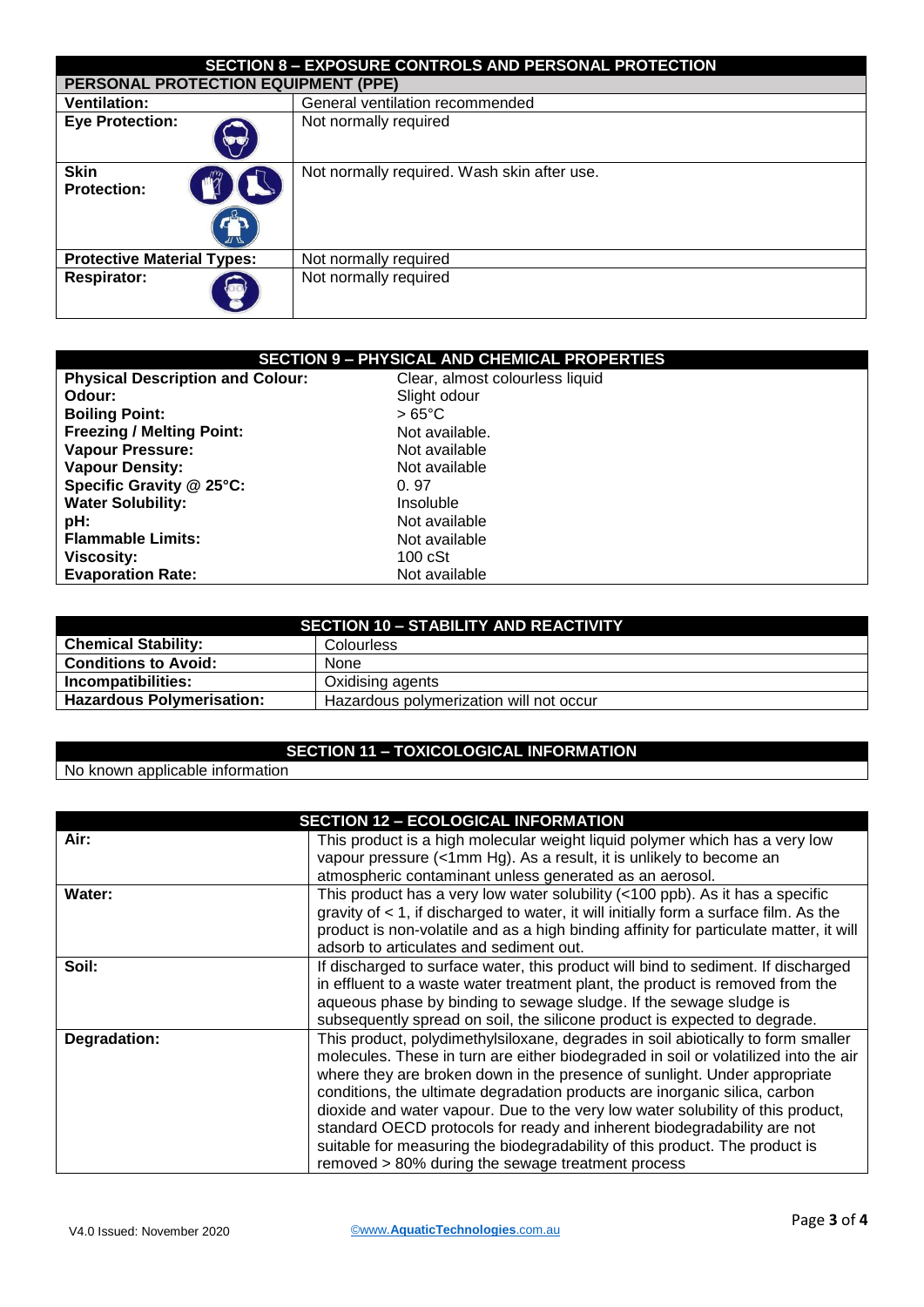| <b>SECTION 8 - EXPOSURE CONTROLS AND PERSONAL PROTECTION</b>                                |                                             |  |
|---------------------------------------------------------------------------------------------|---------------------------------------------|--|
|                                                                                             | PERSONAL PROTECTION EQUIPMENT (PPE)         |  |
| <b>Ventilation:</b>                                                                         | General ventilation recommended             |  |
| <b>Eye Protection:</b><br>$\langle \hspace{-1.5pt} \bullet \hspace{-1.5pt} \bullet \rangle$ | Not normally required                       |  |
| <b>Skin</b><br><b>Protection:</b><br>ᢧᢆᢆᢆᢆ                                                  | Not normally required. Wash skin after use. |  |
| <b>Protective Material Types:</b><br>Not normally required                                  |                                             |  |
| <b>Respirator:</b><br>$\{\blacksquare\}$                                                    | Not normally required                       |  |

| <b>SECTION 9 - PHYSICAL AND CHEMICAL PROPERTIES</b> |                                 |  |
|-----------------------------------------------------|---------------------------------|--|
| <b>Physical Description and Colour:</b>             | Clear, almost colourless liquid |  |
| Odour:                                              | Slight odour                    |  |
| <b>Boiling Point:</b>                               | $>65^{\circ}$ C                 |  |
| <b>Freezing / Melting Point:</b>                    | Not available.                  |  |
| <b>Vapour Pressure:</b>                             | Not available                   |  |
| <b>Vapour Density:</b>                              | Not available                   |  |
| Specific Gravity @ 25°C:                            | 0.97                            |  |
| <b>Water Solubility:</b>                            | Insoluble                       |  |
| pH:                                                 | Not available                   |  |
| <b>Flammable Limits:</b>                            | Not available                   |  |
| <b>Viscosity:</b>                                   | $100 \text{ cSt}$               |  |
| <b>Evaporation Rate:</b>                            | Not available                   |  |

| <b>SECTION 10 - STABILITY AND REACTIVITY</b> |                                         |
|----------------------------------------------|-----------------------------------------|
| <b>Chemical Stability:</b>                   | Colourless                              |
| <b>Conditions to Avoid:</b>                  | None                                    |
| Incompatibilities:                           | Oxidising agents                        |
| <b>Hazardous Polymerisation:</b>             | Hazardous polymerization will not occur |

## **SECTION 11 – TOXICOLOGICAL INFORMATION**

## No known applicable information

|              | <b>SECTION 12 - ECOLOGICAL INFORMATION</b>                                              |
|--------------|-----------------------------------------------------------------------------------------|
| Air:         | This product is a high molecular weight liquid polymer which has a very low             |
|              | vapour pressure (<1mm Hg). As a result, it is unlikely to become an                     |
|              | atmospheric contaminant unless generated as an aerosol.                                 |
| Water:       | This product has a very low water solubility (<100 ppb). As it has a specific           |
|              | gravity of $<$ 1, if discharged to water, it will initially form a surface film. As the |
|              | product is non-volatile and as a high binding affinity for particulate matter, it will  |
|              | adsorb to articulates and sediment out.                                                 |
| Soil:        | If discharged to surface water, this product will bind to sediment. If discharged       |
|              | in effluent to a waste water treatment plant, the product is removed from the           |
|              | aqueous phase by binding to sewage sludge. If the sewage sludge is                      |
|              | subsequently spread on soil, the silicone product is expected to degrade.               |
| Degradation: | This product, polydimethylsiloxane, degrades in soil abiotically to form smaller        |
|              | molecules. These in turn are either biodegraded in soil or volatilized into the air     |
|              | where they are broken down in the presence of sunlight. Under appropriate               |
|              | conditions, the ultimate degradation products are inorganic silica, carbon              |
|              | dioxide and water vapour. Due to the very low water solubility of this product,         |
|              | standard OECD protocols for ready and inherent biodegradability are not                 |
|              | suitable for measuring the biodegradability of this product. The product is             |
|              | removed > 80% during the sewage treatment process                                       |